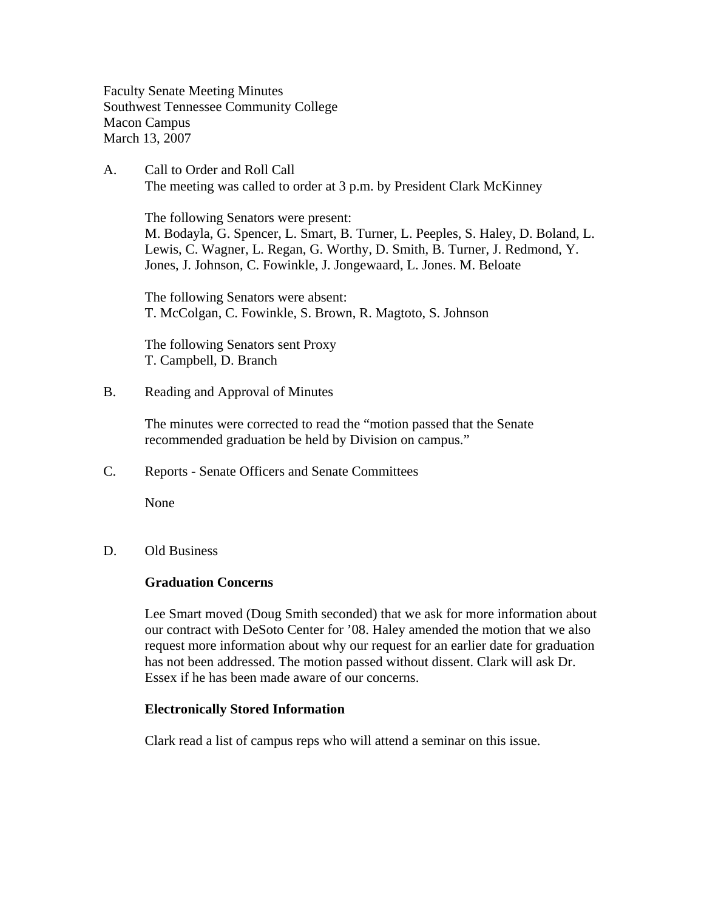Faculty Senate Meeting Minutes Southwest Tennessee Community College Macon Campus March 13, 2007

A. Call to Order and Roll Call The meeting was called to order at 3 p.m. by President Clark McKinney

 The following Senators were present: M. Bodayla, G. Spencer, L. Smart, B. Turner, L. Peeples, S. Haley, D. Boland, L. Lewis, C. Wagner, L. Regan, G. Worthy, D. Smith, B. Turner, J. Redmond, Y. Jones, J. Johnson, C. Fowinkle, J. Jongewaard, L. Jones. M. Beloate

The following Senators were absent: T. McColgan, C. Fowinkle, S. Brown, R. Magtoto, S. Johnson

The following Senators sent Proxy T. Campbell, D. Branch

B. Reading and Approval of Minutes

The minutes were corrected to read the "motion passed that the Senate recommended graduation be held by Division on campus."

C. Reports - Senate Officers and Senate Committees

None

D. Old Business

### **Graduation Concerns**

Lee Smart moved (Doug Smith seconded) that we ask for more information about our contract with DeSoto Center for '08. Haley amended the motion that we also request more information about why our request for an earlier date for graduation has not been addressed. The motion passed without dissent. Clark will ask Dr. Essex if he has been made aware of our concerns.

### **Electronically Stored Information**

Clark read a list of campus reps who will attend a seminar on this issue.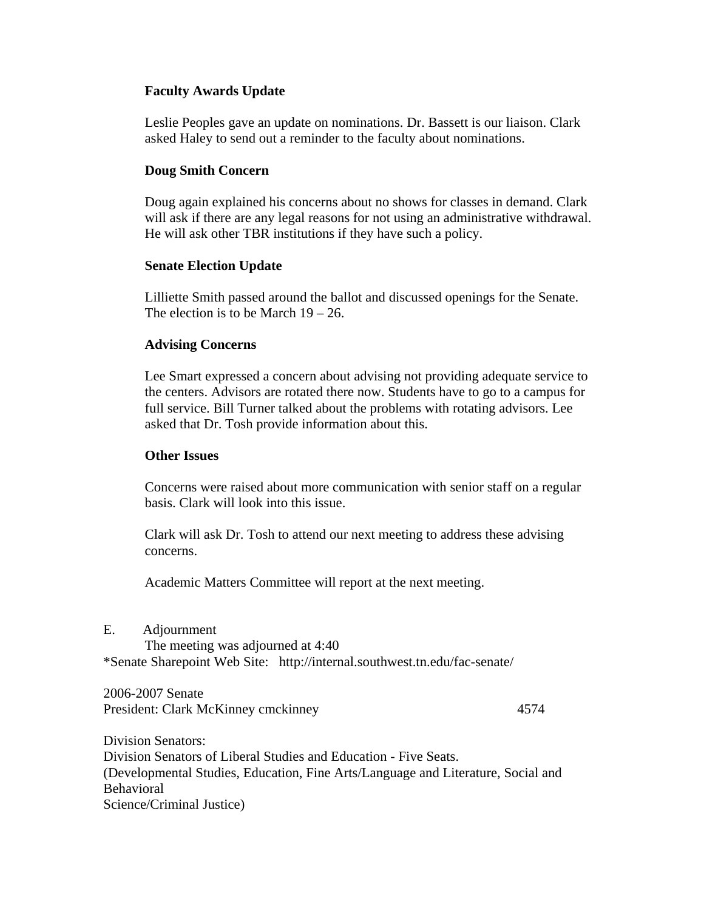# **Faculty Awards Update**

Leslie Peoples gave an update on nominations. Dr. Bassett is our liaison. Clark asked Haley to send out a reminder to the faculty about nominations.

# **Doug Smith Concern**

Doug again explained his concerns about no shows for classes in demand. Clark will ask if there are any legal reasons for not using an administrative withdrawal. He will ask other TBR institutions if they have such a policy.

## **Senate Election Update**

Lilliette Smith passed around the ballot and discussed openings for the Senate. The election is to be March  $19 - 26$ .

## **Advising Concerns**

Lee Smart expressed a concern about advising not providing adequate service to the centers. Advisors are rotated there now. Students have to go to a campus for full service. Bill Turner talked about the problems with rotating advisors. Lee asked that Dr. Tosh provide information about this.

### **Other Issues**

Concerns were raised about more communication with senior staff on a regular basis. Clark will look into this issue.

Clark will ask Dr. Tosh to attend our next meeting to address these advising concerns.

Academic Matters Committee will report at the next meeting.

| Е. | Adjournment                       |                                                                           |  |
|----|-----------------------------------|---------------------------------------------------------------------------|--|
|    | The meeting was adjourned at 4:40 |                                                                           |  |
|    |                                   | *Senate Sharepoint Web Site: http://internal.southwest.tn.edu/fac-senate/ |  |

2006-2007 Senate President: Clark McKinney cmckinney 4574

Division Senators: Division Senators of Liberal Studies and Education - Five Seats. (Developmental Studies, Education, Fine Arts/Language and Literature, Social and Behavioral Science/Criminal Justice)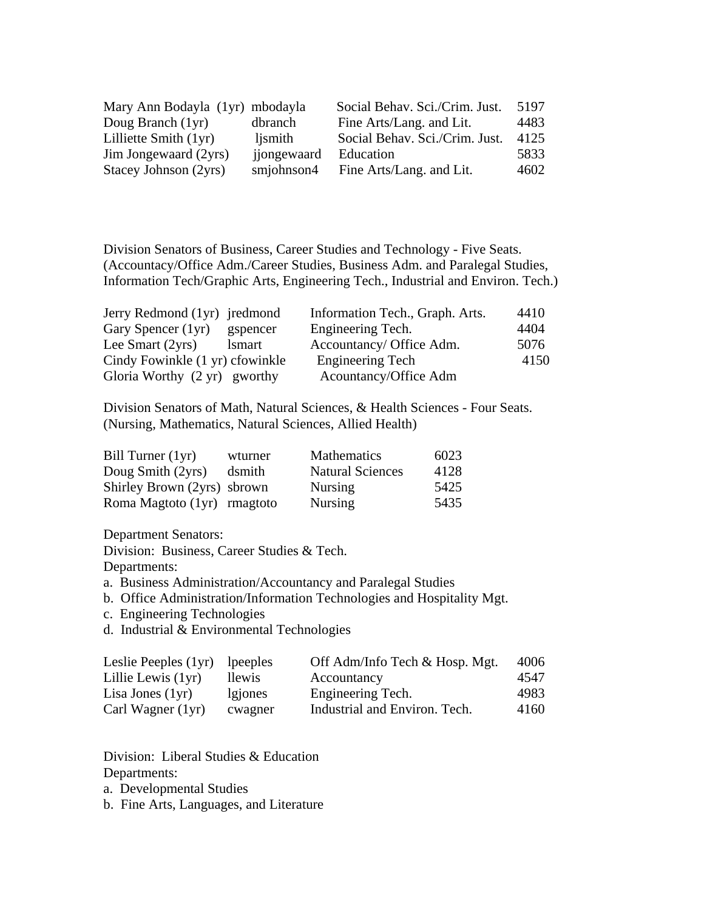| Mary Ann Bodayla (1yr) mbodayla |             | Social Behav. Sci./Crim. Just. | 5197 |
|---------------------------------|-------------|--------------------------------|------|
| Doug Branch (1yr)               | dbranch     | Fine Arts/Lang. and Lit.       | 4483 |
| Lilliette Smith (1yr)           | ljsmith     | Social Behav. Sci./Crim. Just. | 4125 |
| Jim Jongewaard (2yrs)           | jjongewaard | Education                      | 5833 |
| Stacey Johnson (2yrs)           | smjohnson4  | Fine Arts/Lang. and Lit.       | 4602 |

Division Senators of Business, Career Studies and Technology - Five Seats. (Accountacy/Office Adm./Career Studies, Business Adm. and Paralegal Studies, Information Tech/Graphic Arts, Engineering Tech., Industrial and Environ. Tech.)

| Jerry Redmond (1yr) jredmond    |               | Information Tech., Graph. Arts. | 4410 |
|---------------------------------|---------------|---------------------------------|------|
| Gary Spencer (1yr)              | gspencer      | Engineering Tech.               | 4404 |
| Lee Smart $(2yrs)$              | <i>lsmart</i> | Accountancy/ Office Adm.        | 5076 |
| Cindy Fowinkle (1 yr) cfowinkle |               | <b>Engineering Tech</b>         | 4150 |
| Gloria Worthy (2 yr) gworthy    |               | Acountancy/Office Adm           |      |

Division Senators of Math, Natural Sciences, & Health Sciences - Four Seats. (Nursing, Mathematics, Natural Sciences, Allied Health)

| Bill Turner $(1yr)$         | wturner | <b>Mathematics</b>      | 6023 |
|-----------------------------|---------|-------------------------|------|
| Doug Smith (2yrs)           | dsmith  | <b>Natural Sciences</b> | 4128 |
| Shirley Brown (2yrs) sbrown |         | <b>Nursing</b>          | 5425 |
| Roma Magtoto (1yr) rmagtoto |         | <b>Nursing</b>          | 5435 |

Department Senators:

Division: Business, Career Studies & Tech.

Departments:

a. Business Administration/Accountancy and Paralegal Studies

- b. Office Administration/Information Technologies and Hospitality Mgt.
- c. Engineering Technologies
- d. Industrial & Environmental Technologies

| Leslie Peeples (1yr) | lpeeples | Off Adm/Info Tech & Hosp. Mgt. | 4006 |
|----------------------|----------|--------------------------------|------|
| Lillie Lewis (1yr)   | llewis.  | Accountancy                    | 4547 |
| Lisa Jones $(1yr)$   | lgiones  | Engineering Tech.              | 4983 |
| Carl Wagner (1yr)    | cwagner  | Industrial and Environ. Tech.  | 4160 |

Division: Liberal Studies & Education Departments:

a. Developmental Studies

b. Fine Arts, Languages, and Literature